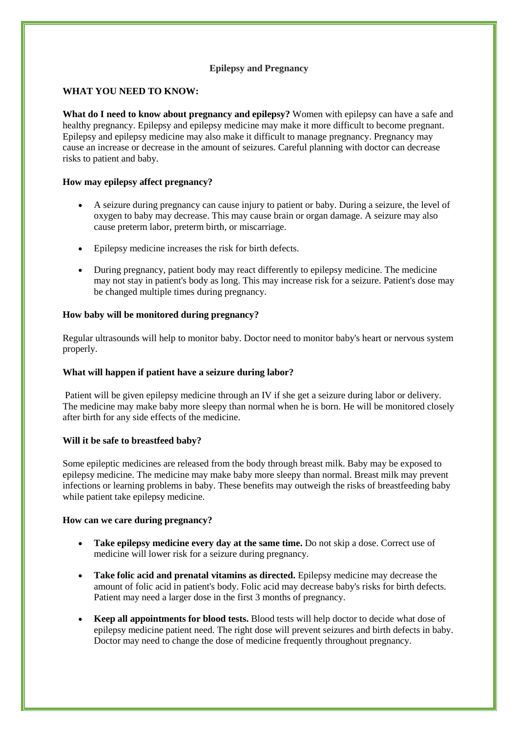# **Epilepsy and Pregnancy**

### **WHAT YOU NEED TO KNOW:**

**What do I need to know about pregnancy and epilepsy?** Women with epilepsy can have a safe and healthy pregnancy. Epilepsy and epilepsy medicine may make it more difficult to become pregnant. Epilepsy and epilepsy medicine may also make it difficult to manage pregnancy. Pregnancy may cause an increase or decrease in the amount of seizures. Careful planning with doctor can decrease risks to patient and baby.

### **How may epilepsy affect pregnancy?**

- A seizure during pregnancy can cause injury to patient or baby. During a seizure, the level of oxygen to baby may decrease. This may cause brain or organ damage. A seizure may also cause preterm labor, preterm birth, or miscarriage.
- Epilepsy medicine increases the risk for birth defects.
- During pregnancy, patient body may react differently to epilepsy medicine. The medicine may not stay in patient's body as long. This may increase risk for a seizure. Patient's dose may be changed multiple times during pregnancy.

#### **How baby will be monitored during pregnancy?**

Regular ultrasounds will help to monitor baby. Doctor need to monitor baby's heart or nervous system properly.

#### **What will happen if patient have a seizure during labor?**

Patient will be given epilepsy medicine through an IV if she get a seizure during labor or delivery. The medicine may make baby more sleepy than normal when he is born. He will be monitored closely after birth for any side effects of the medicine.

#### **Will it be safe to breastfeed baby?**

Some epileptic medicines are released from the body through breast milk. Baby may be exposed to epilepsy medicine. The medicine may make baby more sleepy than normal. Breast milk may prevent infections or learning problems in baby. These benefits may outweigh the risks of breastfeeding baby while patient take epilepsy medicine.

#### **How can we care during pregnancy?**

- **Take epilepsy medicine every day at the same time.** Do not skip a dose. Correct use of medicine will lower risk for a seizure during pregnancy.
- **Take folic acid and prenatal vitamins as directed.** Epilepsy medicine may decrease the amount of folic acid in patient's body. Folic acid may decrease baby's risks for birth defects. Patient may need a larger dose in the first 3 months of pregnancy.
- **Keep all appointments for blood tests.** Blood tests will help doctor to decide what dose of epilepsy medicine patient need. The right dose will prevent seizures and birth defects in baby. Doctor may need to change the dose of medicine frequently throughout pregnancy.